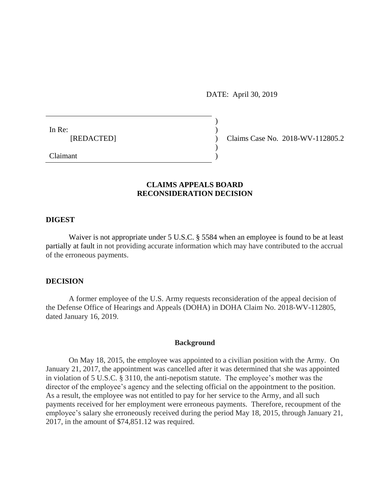DATE: April 30, 2019

) ) ) ) )

In Re: [REDACTED]

Claims Case No. 2018-WV-112805.2

Claimant

# **CLAIMS APPEALS BOARD RECONSIDERATION DECISION**

### **DIGEST**

Waiver is not appropriate under 5 U.S.C. § 5584 when an employee is found to be at least partially at fault in not providing accurate information which may have contributed to the accrual of the erroneous payments.

### **DECISION**

A former employee of the U.S. Army requests reconsideration of the appeal decision of the Defense Office of Hearings and Appeals (DOHA) in DOHA Claim No. 2018-WV-112805, dated January 16, 2019.

### **Background**

On May 18, 2015, the employee was appointed to a civilian position with the Army. On January 21, 2017, the appointment was cancelled after it was determined that she was appointed in violation of 5 U.S.C. § 3110, the anti-nepotism statute. The employee's mother was the director of the employee's agency and the selecting official on the appointment to the position. As a result, the employee was not entitled to pay for her service to the Army, and all such payments received for her employment were erroneous payments. Therefore, recoupment of the employee's salary she erroneously received during the period May 18, 2015, through January 21, 2017, in the amount of \$74,851.12 was required.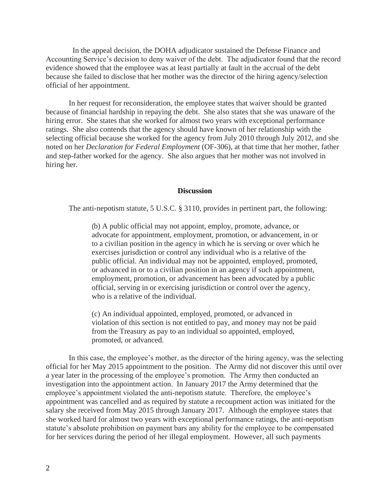In the appeal decision, the DOHA adjudicator sustained the Defense Finance and Accounting Service's decision to deny waiver of the debt. The adjudicator found that the record evidence showed that the employee was at least partially at fault in the accrual of the debt because she failed to disclose that her mother was the director of the hiring agency/selection official of her appointment.

In her request for reconsideration, the employee states that waiver should be granted because of financial hardship in repaying the debt. She also states that she was unaware of the hiring error. She states that she worked for almost two years with exceptional performance ratings. She also contends that the agency should have known of her relationship with the selecting official because she worked for the agency from July 2010 through July 2012, and she noted on her *Declaration for Federal Employment* (OF-306), at that time that her mother, father and step-father worked for the agency. She also argues that her mother was not involved in hiring her.

### **Discussion**

The anti-nepotism statute, 5 U.S.C. § 3110, provides in pertinent part, the following:

(b) A public official may not appoint, employ, promote, advance, or advocate for appointment, employment, promotion, or advancement, in or to a civilian position in the agency in which he is serving or over which he exercises jurisdiction or control any individual who is a relative of the public official. An individual may not be appointed, employed, promoted, or advanced in or to a civilian position in an agency if such appointment, employment, promotion, or advancement has been advocated by a public official, serving in or exercising jurisdiction or control over the agency, who is a relative of the individual.

(c) An individual appointed, employed, promoted, or advanced in violation of this section is not entitled to pay, and money may not be paid from the Treasury as pay to an individual so appointed, employed, promoted, or advanced.

In this case, the employee's mother, as the director of the hiring agency, was the selecting official for her May 2015 appointment to the position. The Army did not discover this until over a year later in the processing of the employee's promotion. The Army then conducted an investigation into the appointment action. In January 2017 the Army determined that the employee's appointment violated the anti-nepotism statute. Therefore, the employee's appointment was cancelled and as required by statute a recoupment action was initiated for the salary she received from May 2015 through January 2017. Although the employee states that she worked hard for almost two years with exceptional performance ratings, the anti-nepotism statute's absolute prohibition on payment bars any ability for the employee to be compensated for her services during the period of her illegal employment. However, all such payments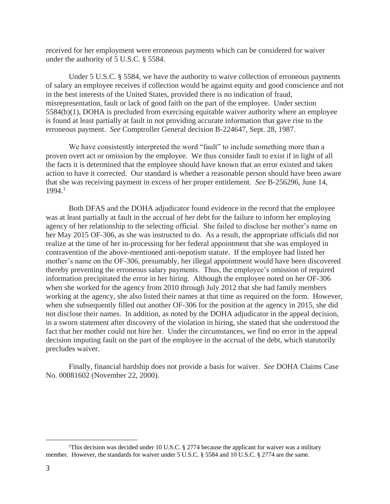received for her employment were erroneous payments which can be considered for waiver under the authority of 5 U.S.C. § 5584.

Under 5 U.S.C. § 5584, we have the authority to waive collection of erroneous payments of salary an employee receives if collection would be against equity and good conscience and not in the best interests of the United States, provided there is no indication of fraud, misrepresentation, fault or lack of good faith on the part of the employee. Under section 5584(b)(1), DOHA is precluded from exercising equitable waiver authority where an employee is found at least partially at fault in not providing accurate information that gave rise to the erroneous payment. *See* Comptroller General decision B-224647, Sept. 28, 1987.

We have consistently interpreted the word "fault" to include something more than a proven overt act or omission by the employee. We thus consider fault to exist if in light of all the facts it is determined that the employee should have known that an error existed and taken action to have it corrected. Our standard is whether a reasonable person should have been aware that she was receiving payment in excess of her proper entitlement. *See* B-256296, June 14, 1994.<sup>1</sup>

Both DFAS and the DOHA adjudicator found evidence in the record that the employee was at least partially at fault in the accrual of her debt for the failure to inform her employing agency of her relationship to the selecting official. She failed to disclose her mother's name on her May 2015 OF-306, as she was instructed to do. As a result, the appropriate officials did not realize at the time of her in-processing for her federal appointment that she was employed in contravention of the above-mentioned anti-nepotism statute. If the employee had listed her mother's name on the OF-306, presumably, her illegal appointment would have been discovered thereby preventing the erroneous salary payments. Thus, the employee's omission of required information precipitated the error in her hiring. Although the employee noted on her OF-306 when she worked for the agency from 2010 through July 2012 that she had family members working at the agency, she also listed their names at that time as required on the form. However, when she subsequently filled out another OF-306 for the position at the agency in 2015, she did not disclose their names. In addition, as noted by the DOHA adjudicator in the appeal decision, in a sworn statement after discovery of the violation in hiring, she stated that she understood the fact that her mother could not hire her. Under the circumstances, we find no error in the appeal decision imputing fault on the part of the employee in the accrual of the debt, which statutorily precludes waiver.

Finally, financial hardship does not provide a basis for waiver. *See* DOHA Claims Case No. 00081602 (November 22, 2000).

 $\overline{a}$ 

<sup>&</sup>lt;sup>1</sup>This decision was decided under 10 U.S.C. § 2774 because the applicant for waiver was a military member. However, the standards for waiver under 5 U.S.C. § 5584 and 10 U.S.C. § 2774 are the same.